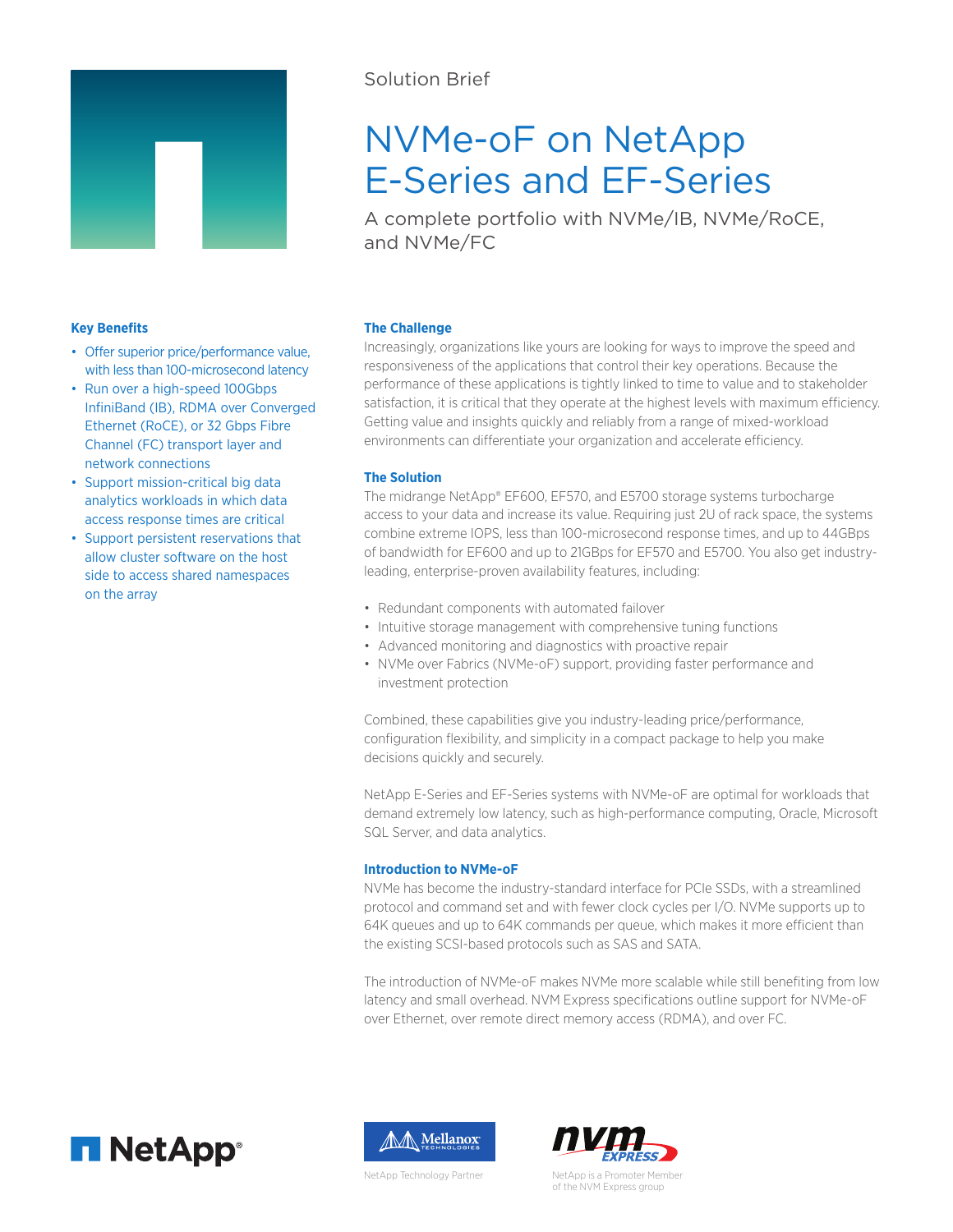

• Offer superior price/performance value, with less than 100-microsecond latency • Run over a high-speed 100Gbps

InfiniBand (IB), RDMA over Converged Ethernet (RoCE), or 32 Gbps Fibre Channel (FC) transport layer and

network connections

on the array

• Support mission-critical big data analytics workloads in which data access response times are critical • Support persistent reservations that allow cluster software on the host side to access shared namespaces

**Key Benefits**

# Solution Brief

# NVMe-oF on NetApp E-Series and EF-Series

A complete portfolio with NVMe/IB, NVMe/RoCE, and NVMe/FC

# **The Challenge**

Increasingly, organizations like yours are looking for ways to improve the speed and responsiveness of the applications that control their key operations. Because the performance of these applications is tightly linked to time to value and to stakeholder satisfaction, it is critical that they operate at the highest levels with maximum efficiency. Getting value and insights quickly and reliably from a range of mixed-workload environments can differentiate your organization and accelerate efficiency.

# **The Solution**

The midrange NetApp® EF600, EF570, and E5700 storage systems turbocharge access to your data and increase its value. Requiring just 2U of rack space, the systems combine extreme IOPS, less than 100-microsecond response times, and up to 44GBps of bandwidth for EF600 and up to 21GBps for EF570 and E5700. You also get industryleading, enterprise-proven availability features, including:

- Redundant components with automated failover
- Intuitive storage management with comprehensive tuning functions
- Advanced monitoring and diagnostics with proactive repair
- NVMe over Fabrics (NVMe-oF) support, providing faster performance and investment protection

Combined, these capabilities give you industry-leading price/performance, configuration flexibility, and simplicity in a compact package to help you make decisions quickly and securely.

NetApp E-Series and EF-Series systems with NVMe-oF are optimal for workloads that demand extremely low latency, such as high-performance computing, Oracle, Microsoft SQL Server, and data analytics.

## **Introduction to NVMe-oF**

NVMe has become the industry-standard interface for PCIe SSDs, with a streamlined protocol and command set and with fewer clock cycles per I/O. NVMe supports up to 64K queues and up to 64K commands per queue, which makes it more efficient than the existing SCSI-based protocols such as SAS and SATA.

The introduction of NVMe-oF makes NVMe more scalable while still benefiting from low latency and small overhead. NVM Express specifications outline support for NVMe-oF over Ethernet, over remote direct memory access (RDMA), and over FC.





NetApp Technology Partner

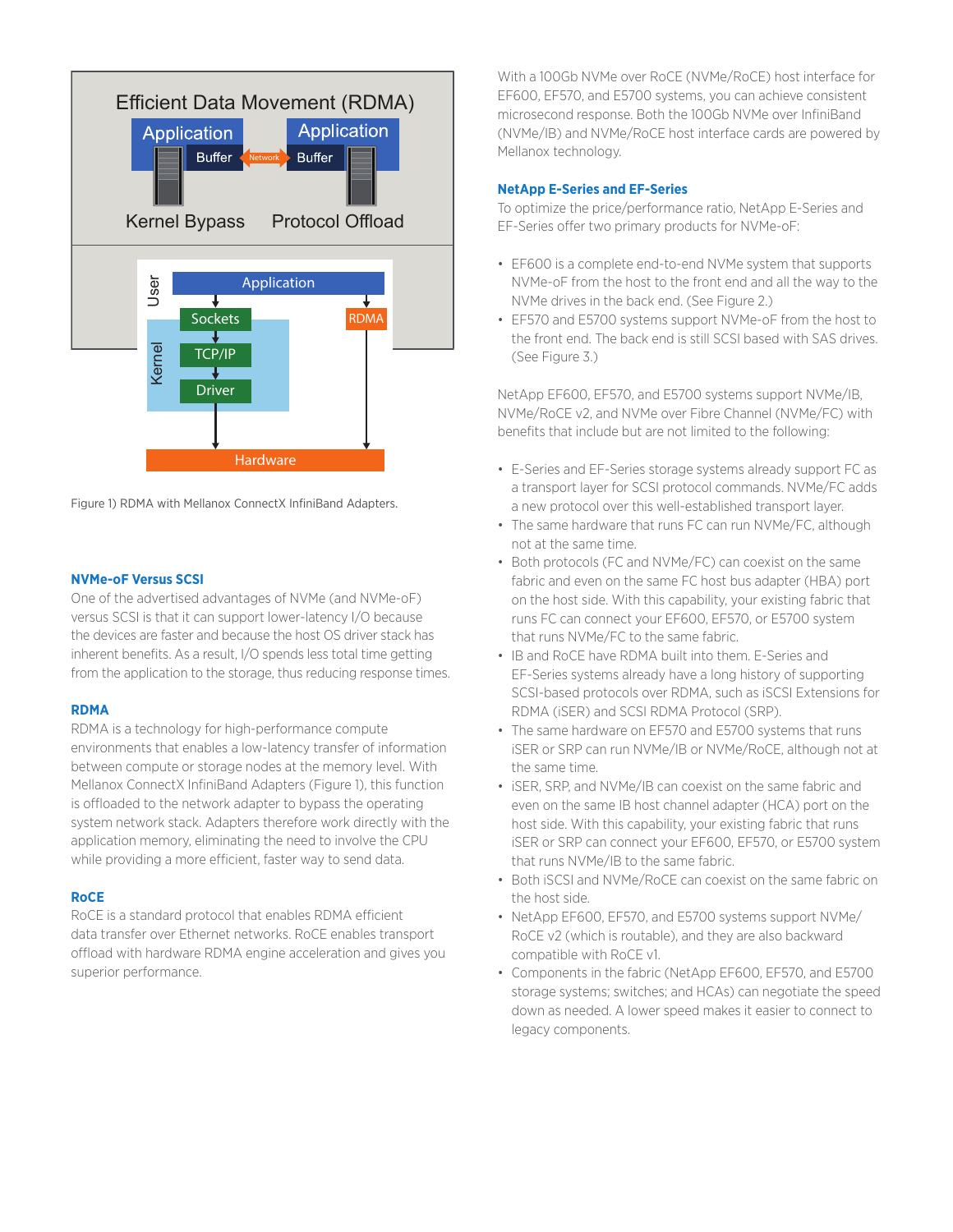

Figure 1) RDMA with Mellanox ConnectX InfiniBand Adapters.

#### **NVMe-oF Versus SCSI**

One of the advertised advantages of NVMe (and NVMe-oF) versus SCSI is that it can support lower-latency I/O because the devices are faster and because the host OS driver stack has inherent benefits. As a result, I/O spends less total time getting from the application to the storage, thus reducing response times.

#### **RDMA**

RDMA is a technology for high-performance compute environments that enables a low-latency transfer of information between compute or storage nodes at the memory level. With Mellanox ConnectX InfiniBand Adapters (Figure 1), this function is offloaded to the network adapter to bypass the operating system network stack. Adapters therefore work directly with the application memory, eliminating the need to involve the CPU while providing a more efficient, faster way to send data.

## **RoCE**

RoCE is a standard protocol that enables RDMA efficient data transfer over Ethernet networks. RoCE enables transport offload with hardware RDMA engine acceleration and gives you superior performance.

With a 100Gb NVMe over RoCE (NVMe/RoCE) host interface for EF600, EF570, and E5700 systems, you can achieve consistent microsecond response. Both the 100Gb NVMe over InfiniBand (NVMe/IB) and NVMe/RoCE host interface cards are powered by Mellanox technology.

#### **NetApp E-Series and EF-Series**

To optimize the price/performance ratio, NetApp E-Series and EF-Series offer two primary products for NVMe-oF:

- EF600 is a complete end-to-end NVMe system that supports NVMe-oF from the host to the front end and all the way to the NVMe drives in the back end. (See Figure 2.)
- EF570 and E5700 systems support NVMe-oF from the host to the front end. The back end is still SCSI based with SAS drives. (See Figure 3.)

NetApp EF600, EF570, and E5700 systems support NVMe/IB, NVMe/RoCE v2, and NVMe over Fibre Channel (NVMe/FC) with benefits that include but are not limited to the following:

- E-Series and EF-Series storage systems already support FC as a transport layer for SCSI protocol commands. NVMe/FC adds a new protocol over this well-established transport layer.
- The same hardware that runs FC can run NVMe/FC, although not at the same time.
- Both protocols (FC and NVMe/FC) can coexist on the same fabric and even on the same FC host bus adapter (HBA) port on the host side. With this capability, your existing fabric that runs FC can connect your EF600, EF570, or E5700 system that runs NVMe/FC to the same fabric.
- IB and RoCE have RDMA built into them. E-Series and EF-Series systems already have a long history of supporting SCSI-based protocols over RDMA, such as iSCSI Extensions for RDMA (iSER) and SCSI RDMA Protocol (SRP).
- The same hardware on EF570 and E5700 systems that runs iSER or SRP can run NVMe/IB or NVMe/RoCE, although not at the same time.
- iSER, SRP, and NVMe/IB can coexist on the same fabric and even on the same IB host channel adapter (HCA) port on the host side. With this capability, your existing fabric that runs iSER or SRP can connect your EF600, EF570, or E5700 system that runs NVMe/IB to the same fabric.
- Both iSCSI and NVMe/RoCE can coexist on the same fabric on the host side.
- NetApp EF600, EF570, and E5700 systems support NVMe/ RoCE v2 (which is routable), and they are also backward compatible with RoCE v1.
- Components in the fabric (NetApp EF600, EF570, and E5700 storage systems; switches; and HCAs) can negotiate the speed down as needed. A lower speed makes it easier to connect to legacy components.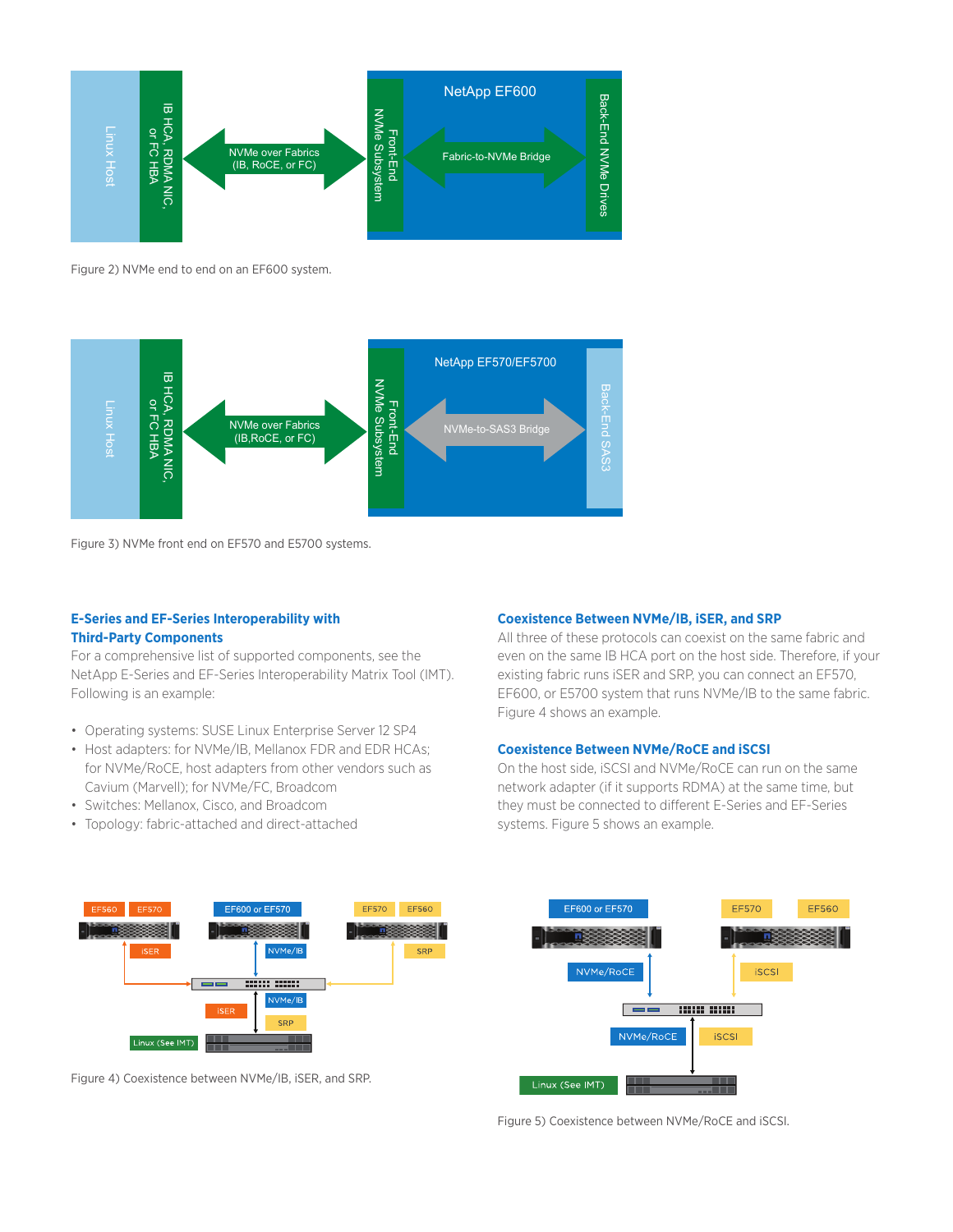

Figure 2) NVMe end to end on an EF600 system.



Figure 3) NVMe front end on EF570 and E5700 systems.

#### **E-Series and EF-Series Interoperability with Third-Party Components**

For a comprehensive list of supported components, see the NetApp E-Series and EF-Series Interoperability Matrix Tool (IMT). Following is an example:

- Operating systems: SUSE Linux Enterprise Server 12 SP4
- Host adapters: for NVMe/IB, Mellanox FDR and EDR HCAs; for NVMe/RoCE, host adapters from other vendors such as Cavium (Marvell); for NVMe/FC, Broadcom
- Switches: Mellanox, Cisco, and Broadcom
- Topology: fabric-attached and direct-attached

#### **Coexistence Between NVMe/IB, iSER, and SRP**

All three of these protocols can coexist on the same fabric and even on the same IB HCA port on the host side. Therefore, if your existing fabric runs iSER and SRP, you can connect an EF570, EF600, or E5700 system that runs NVMe/IB to the same fabric. Figure 4 shows an example.

#### **Coexistence Between NVMe/RoCE and iSCSI**

On the host side, iSCSI and NVMe/RoCE can run on the same network adapter (if it supports RDMA) at the same time, but they must be connected to different E-Series and EF-Series systems. Figure 5 shows an example.



Figure 4) Coexistence between NVMe/IB, iSER, and SRP.



Figure 5) Coexistence between NVMe/RoCE and iSCSI.